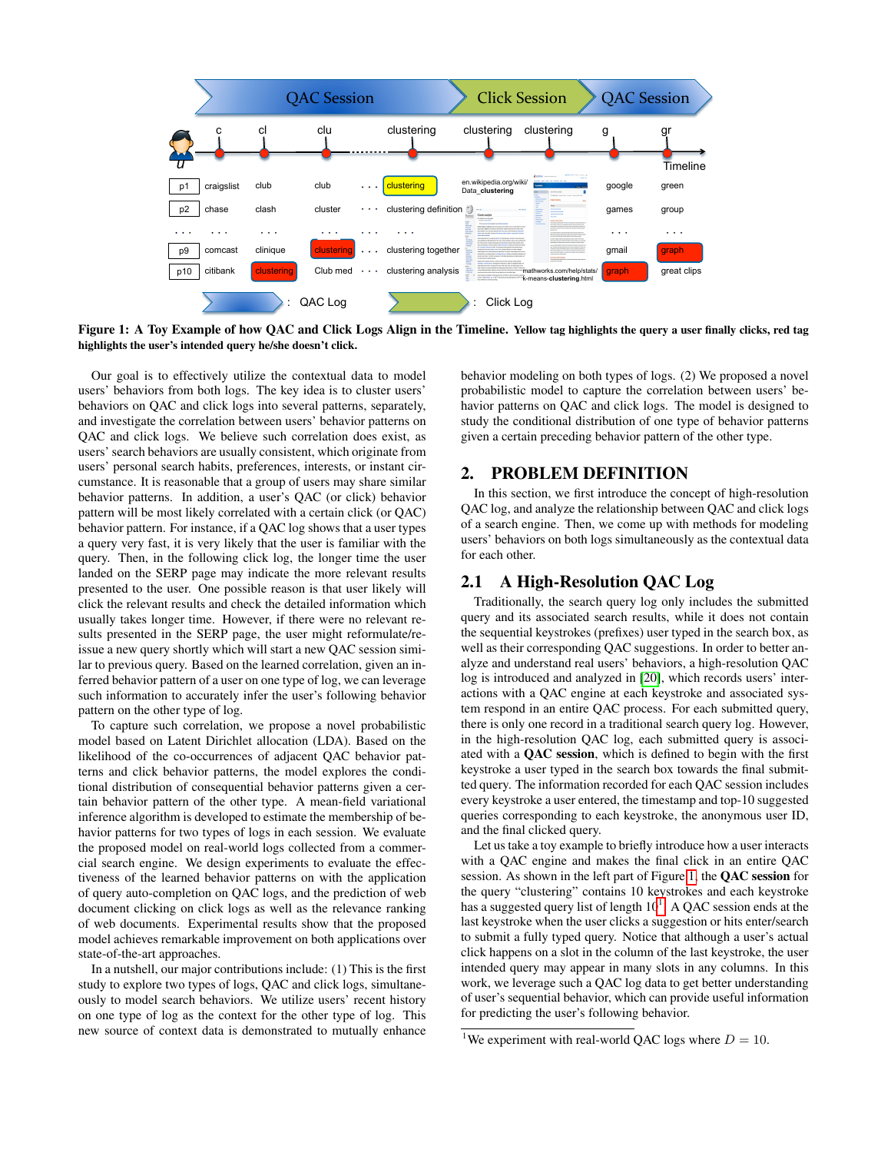

Figure 1: A Toy Example of how QAC and Click Logs Align in the Timeline. Yellow tag highlights the query a user finally clicks, red tag highlights the user's intended query he/she doesn't click.

Our goal is to effectively utilize the contextual data to model users' behaviors from both logs. The key idea is to cluster users' behaviors on QAC and click logs into several patterns, separately, and investigate the correlation between users' behavior patterns on QAC and click logs. We believe such correlation does exist, as users' search behaviors are usually consistent, which originate from users' personal search habits, preferences, interests, or instant circumstance. It is reasonable that a group of users may share similar behavior patterns. In addition, a user's QAC (or click) behavior pattern will be most likely correlated with a certain click (or QAC) behavior pattern. For instance, if a QAC log shows that a user types a query very fast, it is very likely that the user is familiar with the query. Then, in the following click log, the longer time the user landed on the SERP page may indicate the more relevant results presented to the user. One possible reason is that user likely will click the relevant results and check the detailed information which usually takes longer time. However, if there were no relevant results presented in the SERP page, the user might reformulate/reissue a new query shortly which will start a new QAC session similar to previous query. Based on the learned correlation, given an inferred behavior pattern of a user on one type of log, we can leverage such information to accurately infer the user's following behavior pattern on the other type of log.

To capture such correlation, we propose a novel probabilistic model based on Latent Dirichlet allocation (LDA). Based on the likelihood of the co-occurrences of adjacent QAC behavior patterns and click behavior patterns, the model explores the conditional distribution of consequential behavior patterns given a certain behavior pattern of the other type. A mean-field variational inference algorithm is developed to estimate the membership of behavior patterns for two types of logs in each session. We evaluate the proposed model on real-world logs collected from a commercial search engine. We design experiments to evaluate the effectiveness of the learned behavior patterns on with the application of query auto-completion on QAC logs, and the prediction of web document clicking on click logs as well as the relevance ranking of web documents. Experimental results show that the proposed model achieves remarkable improvement on both applications over state-of-the-art approaches.

In a nutshell, our major contributions include: (1) This is the first study to explore two types of logs, QAC and click logs, simultaneously to model search behaviors. We utilize users' recent history on one type of log as the context for the other type of log. This new source of context data is demonstrated to mutually enhance

<span id="page-1-0"></span>behavior modeling on both types of logs. (2) We proposed a novel probabilistic model to capture the correlation between users' behavior patterns on QAC and click logs. The model is designed to study the conditional distribution of one type of behavior patterns given a certain preceding behavior pattern of the other type.

### 2. PROBLEM DEFINITION

In this section, we first introduce the concept of high-resolution QAC log, and analyze the relationship between QAC and click logs of a search engine. Then, we come up with methods for modeling users' behaviors on both logs simultaneously as the contextual data for each other.

#### 2.1 A High-Resolution QAC Log

Traditionally, the search query log only includes the submitted query and its associated search results, while it does not contain the sequential keystrokes (prefixes) user typed in the search box, as well as their corresponding QAC suggestions. In order to better analyze and understand real users' behaviors, a high-resolution QAC log is introduced and analyzed in [\[20\]](#page-9-0), which records users' interactions with a QAC engine at each keystroke and associated system respond in an entire QAC process. For each submitted query, there is only one record in a traditional search query log. However, in the high-resolution QAC log, each submitted query is associated with a QAC session, which is defined to begin with the first keystroke a user typed in the search box towards the final submitted query. The information recorded for each QAC session includes every keystroke a user entered, the timestamp and top-10 suggested queries corresponding to each keystroke, the anonymous user ID, and the final clicked query.

Let us take a toy example to briefly introduce how a user interacts with a QAC engine and makes the final click in an entire QAC session. As shown in the left part of Figure [1,](#page-1-0) the QAC session for the query "clustering" contains 10 keystrokes and each keystroke has a suggested query list of length  $10^1$  $10^1$ . A QAC session ends at the last keystroke when the user clicks a suggestion or hits enter/search to submit a fully typed query. Notice that although a user's actual click happens on a slot in the column of the last keystroke, the user intended query may appear in many slots in any columns. In this work, we leverage such a QAC log data to get better understanding of user's sequential behavior, which can provide useful information for predicting the user's following behavior.

<span id="page-1-1"></span><sup>&</sup>lt;sup>1</sup>We experiment with real-world QAC logs where  $D = 10$ .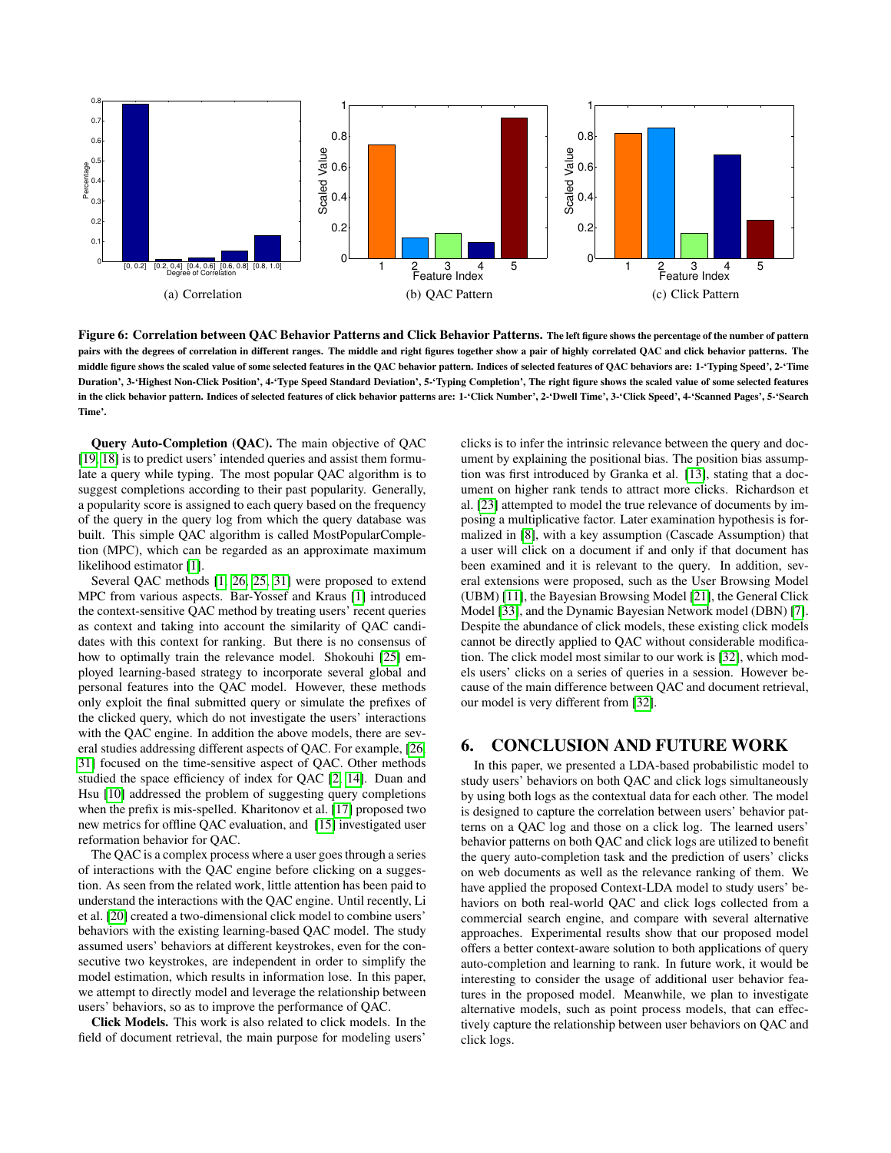Figure 1: A Toy Example of how QAC and Click Logs Align in the Timeline. Yellow tag highlights the query a user nally clicks, red tag highlights the user's intended query he/she doesn't click.

Our goal is to effectively utilize the contextual data to model behavior modeling on both types of logs. (2) We proposed a novel users' behaviors from both logs. The key idea is to cluster users' probabilistic model to capture the correlation between users' bebehaviors on QAC and click logs into several patterns, separately, havior patterns on QAC and click logs. The model is designed to and investigate the correlation between users' behavior patterns onstudy the conditional distribution of one type of behavior patterns QAC and click logs. We believe such correlation does exist, as given a certain preceding behavior pattern of the other type. users' search behaviors are usually consistent, which originate from

users' personal search habits, preferences, interests, or instant cir-<br>cumstance. It is reasonable that a group of users may share similar behavior patterns. In addition, a user's QAC (or click) behavior

pattern will be most likely correlated with a certain click (or QAC) a query very fast, it is very likely that the user is familiar with the query. Then, in the following click log, the longer time the user

landed on the SERP page may indicate the more relevant results<sub>2.1</sub> presented to the user. One possible reason is that user likely will 2.1 click the relevant results and check the detailed information which ferred behavior pattern of a user on one type of log, we can leveragelog is introduced and analyzed in [20], which records users' interpattern on the other type of log.

likelihood of the co-occurrences of adjacent QAC behavior pat- ated with aQAC session which is de ned to begin with the rst havior patterns for two types of logs in each session. We evaluate and the nal clicked query.

cial search engine. We design experiments to evaluate the effec-with a QAC engine and makes the nal click in an entire QAC tiveness of the learned behavior patterns on with the application session. As shown in the left part of Figure 1, CDAC sessionfor document clicking on click logs as well as the relevance ranking has a suggested query list of length 10 QAC session ends at the model achieves remarkable improvement on both applications over to submit a fully typed query. Notice that although a user's actual state-of-the-art approaches.

In a nutshell, our major contributions include: (1) This is the rst study to explore two types of logs, QAC and click logs, simultaneously to model search behaviors. We utilize users' recent history on one type of log as the context for the other type of log. This for predicting the user's following behavior. new source of context data is demonstrated to mutually enhance <sup>1</sup>We experiment with real-world QAC logs whele = 10.

## **PROBLEM DEFINITION**

In this section, we rst introduce the concept of high-resolution QAC log, and analyze the relationship between QAC and click logs behavior pattern. For instance, if a QAC log shows that a user types of a search engine. Then, we come up with methods for modeling users' behaviors on both logs simultaneously as the contextual data for each other.

# A High-Resolution QAC Log

Traditionally, the search query log only includes the submitted usually takes longer time. However, if there were no relevant re- query and its associated search results, while it does not contain sults presented in the SERP page, the user might reformulate/re-the sequential keystrokes (pre xes) user typed in the search box, as issue a new query shortly which will start a new QAC session simi- well as their corresponding QAC suggestions. In order to better anlar to previous query. Based on the learned correlation, given an in- alyze and understand real users' behaviors, a high-resolution QAC such information to accurately infer the user's following behavior actions with a QAC engine at each keystroke and associated system respond in an entire QAC process. For each submitted query, To capture such correlation, we propose a novel probabilistic there is only one record in a traditional search query log. However. model based on Latent Dirichlet allocation (LDA). Based on the in the high-resolution QAC log, each submitted query is associterns and click behavior patterns, the model explores the condi- keystroke a user typed in the search box towards the nal submittional distribution of consequential behavior patterns given a cer- ted query. The information recorded for each QAC session includes tain behavior pattern of the other type. A mean- eld variational every keystroke a user entered, the timestamp and top-10 suggested inference algorithm is developed to estimate the membership of be-queries corresponding to each keystroke, the anonymous user ID,

the proposed model on real-world logs collected from a commer- Let us take a toy example to brie y introduce how a user interacts of query auto-completion on QAC logs, and the prediction of web the query "clustering" contains 10 keystrokes and each keystroke of web documents. Experimental results show that the proposedlast keystroke when the user clicks a suggestion or hits enter/search

> click happens on a slot in the column of the last keystroke, the user intended query may appear in many slots in any columns. In this work, we leverage such a QAC log data to get better understanding of user's sequential behavior, which can provide useful information